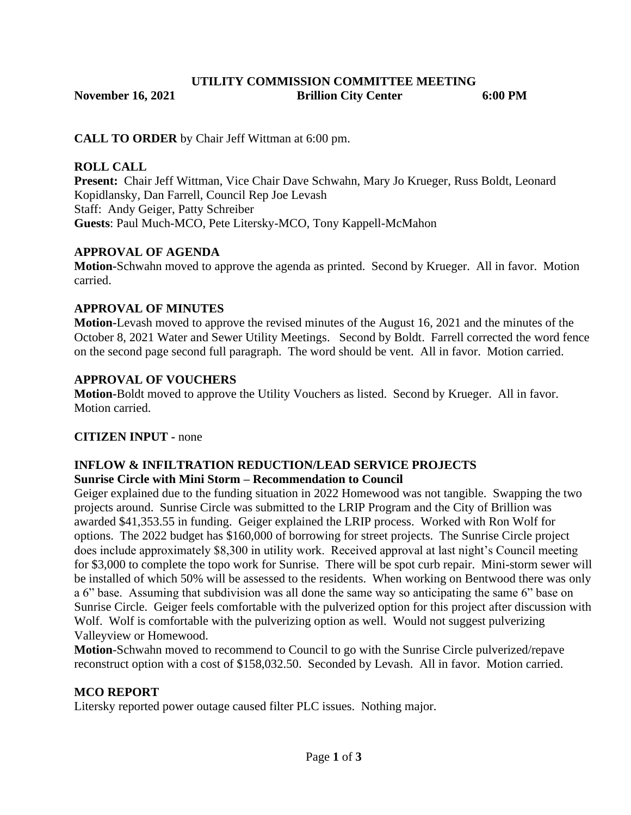## **UTILITY COMMISSION COMMITTEE MEETING November 16, 2021 Brillion City Center 6:00 PM**

**CALL TO ORDER** by Chair Jeff Wittman at 6:00 pm.

#### **ROLL CALL**

**Present:** Chair Jeff Wittman, Vice Chair Dave Schwahn, Mary Jo Krueger, Russ Boldt, Leonard Kopidlansky, Dan Farrell, Council Rep Joe Levash Staff: Andy Geiger, Patty Schreiber **Guests**: Paul Much-MCO, Pete Litersky-MCO, Tony Kappell-McMahon

## **APPROVAL OF AGENDA**

**Motion-**Schwahn moved to approve the agenda as printed. Second by Krueger. All in favor. Motion carried.

# **APPROVAL OF MINUTES**

**Motion-**Levash moved to approve the revised minutes of the August 16, 2021 and the minutes of the October 8, 2021 Water and Sewer Utility Meetings. Second by Boldt. Farrell corrected the word fence on the second page second full paragraph. The word should be vent. All in favor. Motion carried.

#### **APPROVAL OF VOUCHERS**

**Motion-**Boldt moved to approve the Utility Vouchers as listed. Second by Krueger. All in favor. Motion carried.

# **CITIZEN INPUT -** none

## **INFLOW & INFILTRATION REDUCTION/LEAD SERVICE PROJECTS Sunrise Circle with Mini Storm – Recommendation to Council**

Geiger explained due to the funding situation in 2022 Homewood was not tangible. Swapping the two projects around. Sunrise Circle was submitted to the LRIP Program and the City of Brillion was awarded \$41,353.55 in funding. Geiger explained the LRIP process. Worked with Ron Wolf for options. The 2022 budget has \$160,000 of borrowing for street projects. The Sunrise Circle project does include approximately \$8,300 in utility work. Received approval at last night's Council meeting for \$3,000 to complete the topo work for Sunrise. There will be spot curb repair. Mini-storm sewer will be installed of which 50% will be assessed to the residents. When working on Bentwood there was only a 6" base. Assuming that subdivision was all done the same way so anticipating the same 6" base on Sunrise Circle. Geiger feels comfortable with the pulverized option for this project after discussion with Wolf. Wolf is comfortable with the pulverizing option as well. Would not suggest pulverizing Valleyview or Homewood.

**Motion**-Schwahn moved to recommend to Council to go with the Sunrise Circle pulverized/repave reconstruct option with a cost of \$158,032.50. Seconded by Levash. All in favor. Motion carried.

#### **MCO REPORT**

Litersky reported power outage caused filter PLC issues. Nothing major.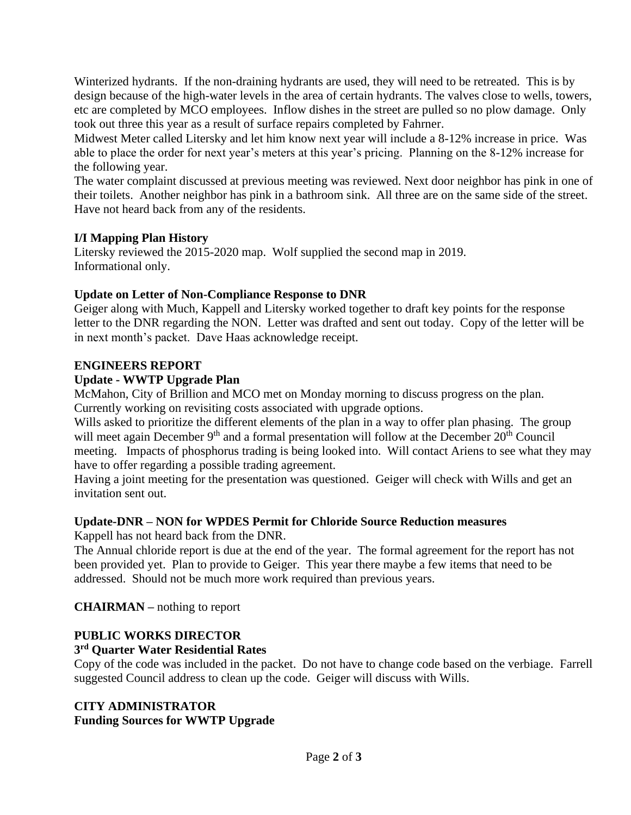Winterized hydrants. If the non-draining hydrants are used, they will need to be retreated. This is by design because of the high-water levels in the area of certain hydrants. The valves close to wells, towers, etc are completed by MCO employees. Inflow dishes in the street are pulled so no plow damage. Only took out three this year as a result of surface repairs completed by Fahrner.

Midwest Meter called Litersky and let him know next year will include a 8-12% increase in price. Was able to place the order for next year's meters at this year's pricing. Planning on the 8-12% increase for the following year.

The water complaint discussed at previous meeting was reviewed. Next door neighbor has pink in one of their toilets. Another neighbor has pink in a bathroom sink. All three are on the same side of the street. Have not heard back from any of the residents.

#### **I/I Mapping Plan History**

Litersky reviewed the 2015-2020 map. Wolf supplied the second map in 2019. Informational only.

## **Update on Letter of Non-Compliance Response to DNR**

Geiger along with Much, Kappell and Litersky worked together to draft key points for the response letter to the DNR regarding the NON. Letter was drafted and sent out today. Copy of the letter will be in next month's packet. Dave Haas acknowledge receipt.

#### **ENGINEERS REPORT**

## **Update - WWTP Upgrade Plan**

McMahon, City of Brillion and MCO met on Monday morning to discuss progress on the plan. Currently working on revisiting costs associated with upgrade options.

Wills asked to prioritize the different elements of the plan in a way to offer plan phasing. The group will meet again December 9<sup>th</sup> and a formal presentation will follow at the December 20<sup>th</sup> Council meeting. Impacts of phosphorus trading is being looked into. Will contact Ariens to see what they may have to offer regarding a possible trading agreement.

Having a joint meeting for the presentation was questioned. Geiger will check with Wills and get an invitation sent out.

# **Update-DNR – NON for WPDES Permit for Chloride Source Reduction measures**

Kappell has not heard back from the DNR.

The Annual chloride report is due at the end of the year. The formal agreement for the report has not been provided yet. Plan to provide to Geiger. This year there maybe a few items that need to be addressed. Should not be much more work required than previous years.

# **CHAIRMAN –** nothing to report

# **PUBLIC WORKS DIRECTOR**

#### **3 rd Quarter Water Residential Rates**

Copy of the code was included in the packet. Do not have to change code based on the verbiage. Farrell suggested Council address to clean up the code. Geiger will discuss with Wills.

# **CITY ADMINISTRATOR**

**Funding Sources for WWTP Upgrade**